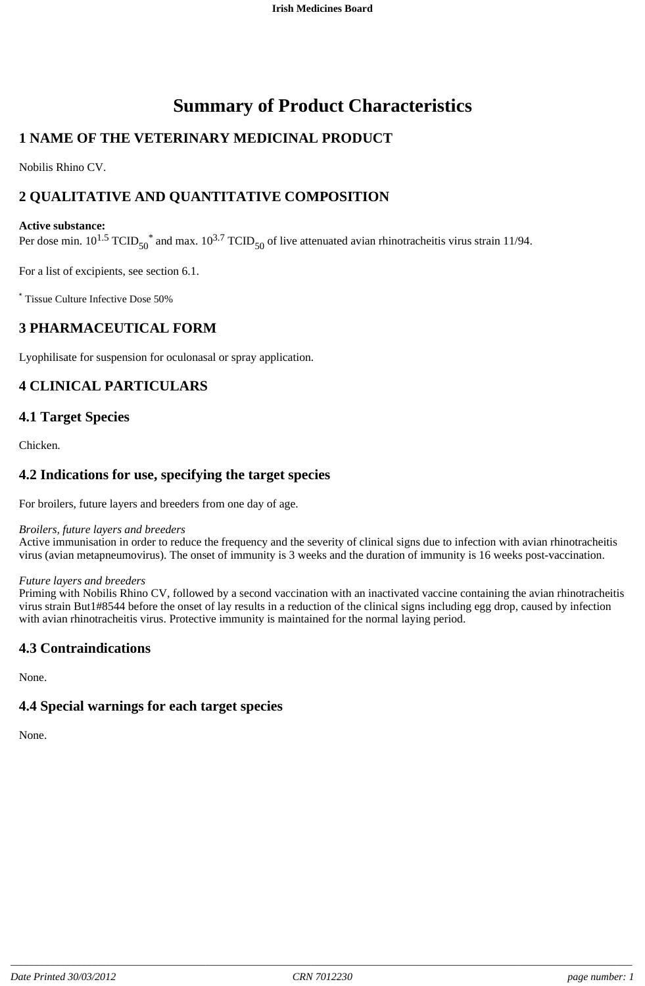# **Summary of Product Characteristics**

# **1 NAME OF THE VETERINARY MEDICINAL PRODUCT**

Nobilis Rhino CV.

# **2 QUALITATIVE AND QUANTITATIVE COMPOSITION**

#### **Active substance:**

Per dose min.  $10^{1.5}$  TCID<sub>50</sub><sup>\*</sup> and max.  $10^{3.7}$  TCID<sub>50</sub> of live attenuated avian rhinotracheitis virus strain 11/94.

For a list of excipients, see section 6.1.

\* Tissue Culture Infective Dose 50%

### **3 PHARMACEUTICAL FORM**

Lyophilisate for suspension for oculonasal or spray application.

# **4 CLINICAL PARTICULARS**

### **4.1 Target Species**

Chicken.

### **4.2 Indications for use, specifying the target species**

For broilers, future layers and breeders from one day of age.

#### *Broilers, future layers and breeders*

Active immunisation in order to reduce the frequency and the severity of clinical signs due to infection with avian rhinotracheitis virus (avian metapneumovirus). The onset of immunity is 3 weeks and the duration of immunity is 16 weeks post-vaccination.

#### *Future layers and breeders*

Priming with Nobilis Rhino CV, followed by a second vaccination with an inactivated vaccine containing the avian rhinotracheitis virus strain But1#8544 before the onset of lay results in a reduction of the clinical signs including egg drop, caused by infection with avian rhinotracheitis virus. Protective immunity is maintained for the normal laying period.

### **4.3 Contraindications**

None.

#### **4.4 Special warnings for each target species**

None.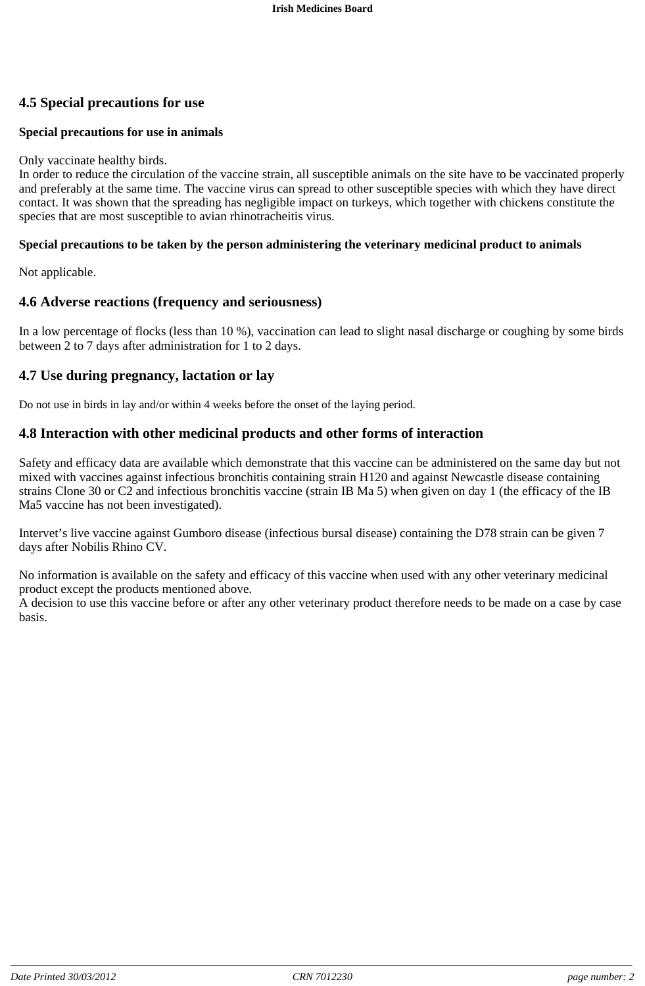# **4.5 Special precautions for use**

#### **Special precautions for use in animals**

#### Only vaccinate healthy birds.

In order to reduce the circulation of the vaccine strain, all susceptible animals on the site have to be vaccinated properly and preferably at the same time. The vaccine virus can spread to other susceptible species with which they have direct contact. It was shown that the spreading has negligible impact on turkeys, which together with chickens constitute the species that are most susceptible to avian rhinotracheitis virus.

#### **Special precautions to be taken by the person administering the veterinary medicinal product to animals**

Not applicable.

### **4.6 Adverse reactions (frequency and seriousness)**

In a low percentage of flocks (less than 10 %), vaccination can lead to slight nasal discharge or coughing by some birds between 2 to 7 days after administration for 1 to 2 days.

### **4.7 Use during pregnancy, lactation or lay**

Do not use in birds in lay and/or within 4 weeks before the onset of the laying period.

### **4.8 Interaction with other medicinal products and other forms of interaction**

Safety and efficacy data are available which demonstrate that this vaccine can be administered on the same day but not mixed with vaccines against infectious bronchitis containing strain H120 and against Newcastle disease containing strains Clone 30 or C2 and infectious bronchitis vaccine (strain IB Ma 5) when given on day 1 (the efficacy of the IB Ma5 vaccine has not been investigated).

Intervet's live vaccine against Gumboro disease (infectious bursal disease) containing the D78 strain can be given 7 days after Nobilis Rhino CV.

No information is available on the safety and efficacy of this vaccine when used with any other veterinary medicinal product except the products mentioned above.

A decision to use this vaccine before or after any other veterinary product therefore needs to be made on a case by case basis.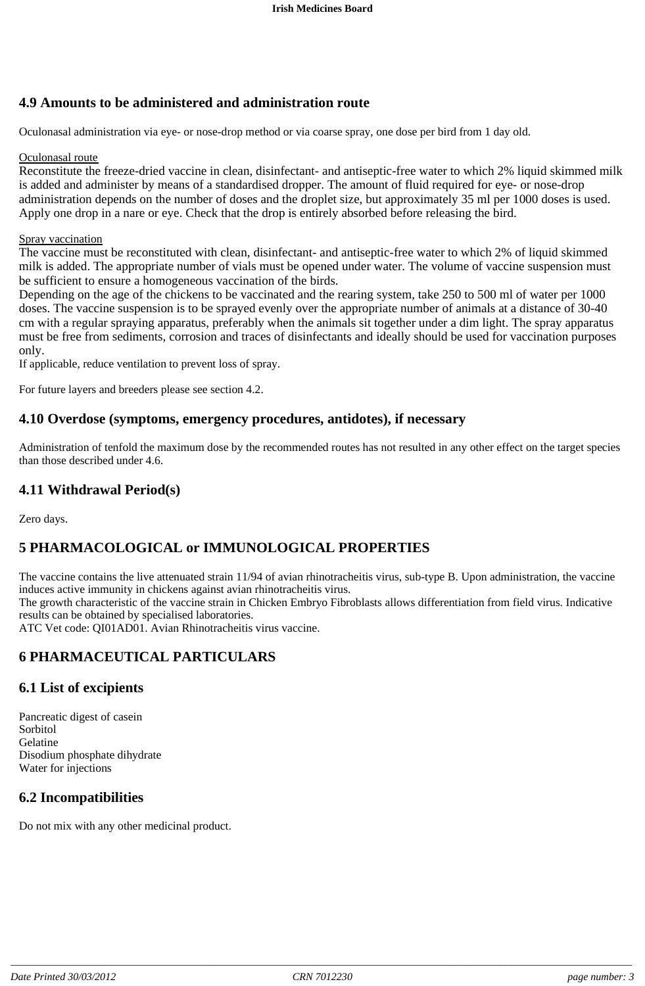# **4.9 Amounts to be administered and administration route**

Oculonasal administration via eye- or nose-drop method or via coarse spray, one dose per bird from 1 day old.

#### Oculonasal route

Reconstitute the freeze-dried vaccine in clean, disinfectant- and antiseptic-free water to which 2% liquid skimmed milk is added and administer by means of a standardised dropper. The amount of fluid required for eye- or nose-drop administration depends on the number of doses and the droplet size, but approximately 35 ml per 1000 doses is used. Apply one drop in a nare or eye. Check that the drop is entirely absorbed before releasing the bird.

#### Spray vaccination

The vaccine must be reconstituted with clean, disinfectant- and antiseptic-free water to which 2% of liquid skimmed milk is added. The appropriate number of vials must be opened under water. The volume of vaccine suspension must be sufficient to ensure a homogeneous vaccination of the birds.

Depending on the age of the chickens to be vaccinated and the rearing system, take 250 to 500 ml of water per 1000 doses. The vaccine suspension is to be sprayed evenly over the appropriate number of animals at a distance of 30-40 cm with a regular spraying apparatus, preferably when the animals sit together under a dim light. The spray apparatus must be free from sediments, corrosion and traces of disinfectants and ideally should be used for vaccination purposes only.

If applicable, reduce ventilation to prevent loss of spray.

For future layers and breeders please see section 4.2.

#### **4.10 Overdose (symptoms, emergency procedures, antidotes), if necessary**

Administration of tenfold the maximum dose by the recommended routes has not resulted in any other effect on the target species than those described under 4.6.

#### **4.11 Withdrawal Period(s)**

Zero days.

### **5 PHARMACOLOGICAL or IMMUNOLOGICAL PROPERTIES**

The vaccine contains the live attenuated strain 11/94 of avian rhinotracheitis virus, sub-type B. Upon administration, the vaccine induces active immunity in chickens against avian rhinotracheitis virus.

The growth characteristic of the vaccine strain in Chicken Embryo Fibroblasts allows differentiation from field virus. Indicative results can be obtained by specialised laboratories.

ATC Vet code: QI01AD01. Avian Rhinotracheitis virus vaccine.

### **6 PHARMACEUTICAL PARTICULARS**

#### **6.1 List of excipients**

Pancreatic digest of casein Sorbitol Gelatine Disodium phosphate dihydrate Water for injections

### **6.2 Incompatibilities**

Do not mix with any other medicinal product.